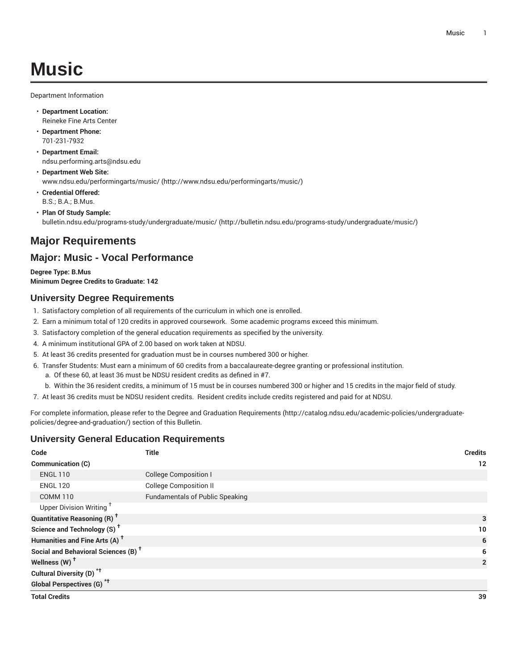Department Information

- **Department Location:** Reineke Fine Arts Center
- **Department Phone:** 701-231-7932
- **Department Email:** [ndsu.performing.arts@ndsu.edu](mailto:ndsu.performing.arts@ndsu.edu)
- **Department Web Site:** [www.ndsu.edu/performingarts/music/ \(http://www.ndsu.edu/performingarts/music/](http://www.ndsu.edu/performingarts/music/))
- **Credential Offered:** B.S.; B.A.; B.Mus.
- **Plan Of Study Sample:** [bulletin.ndsu.edu/programs-study/undergraduate/music/ \(http://bulletin.ndsu.edu/programs-study/undergraduate/music/](http://bulletin.ndsu.edu/programs-study/undergraduate/music/))

# **Major Requirements**

## **Major: Music - Vocal Performance**

**Degree Type: B.Mus Minimum Degree Credits to Graduate: 142**

## **University Degree Requirements**

- 1. Satisfactory completion of all requirements of the curriculum in which one is enrolled.
- 2. Earn a minimum total of 120 credits in approved coursework. Some academic programs exceed this minimum.
- 3. Satisfactory completion of the general education requirements as specified by the university.
- 4. A minimum institutional GPA of 2.00 based on work taken at NDSU.
- 5. At least 36 credits presented for graduation must be in courses numbered 300 or higher.
- 6. Transfer Students: Must earn a minimum of 60 credits from a baccalaureate-degree granting or professional institution.
	- a. Of these 60, at least 36 must be NDSU resident credits as defined in #7.
- b. Within the 36 resident credits, a minimum of 15 must be in courses numbered 300 or higher and 15 credits in the major field of study.
- 7. At least 36 credits must be NDSU resident credits. Resident credits include credits registered and paid for at NDSU.

For complete information, please refer to the Degree and Graduation [Requirements](http://catalog.ndsu.edu/academic-policies/undergraduate-policies/degree-and-graduation/) ([http://catalog.ndsu.edu/academic-policies/undergraduate](http://catalog.ndsu.edu/academic-policies/undergraduate-policies/degree-and-graduation/)[policies/degree-and-graduation/\)](http://catalog.ndsu.edu/academic-policies/undergraduate-policies/degree-and-graduation/) section of this Bulletin.

### **University General Education Requirements**

| Code                                            | <b>Title</b>                           | <b>Credits</b> |
|-------------------------------------------------|----------------------------------------|----------------|
| <b>Communication (C)</b>                        |                                        | 12             |
| <b>ENGL 110</b>                                 | <b>College Composition I</b>           |                |
| <b>ENGL 120</b>                                 | <b>College Composition II</b>          |                |
| <b>COMM 110</b>                                 | <b>Fundamentals of Public Speaking</b> |                |
| Upper Division Writing <sup>+</sup>             |                                        |                |
| <b>Quantitative Reasoning (R)<sup>†</sup></b>   |                                        | 3              |
| Science and Technology (S) <sup>+</sup>         |                                        | 10             |
| Humanities and Fine Arts (A) <sup>+</sup>       |                                        | 6              |
| Social and Behavioral Sciences (B) <sup>+</sup> |                                        | 6              |
| Wellness (W) <sup>t</sup>                       |                                        | $\overline{2}$ |
| Cultural Diversity (D) <sup>*†</sup>            |                                        |                |
| <b>Global Perspectives (G)<sup>*†</sup></b>     |                                        |                |
| <b>Total Credits</b>                            |                                        | 39             |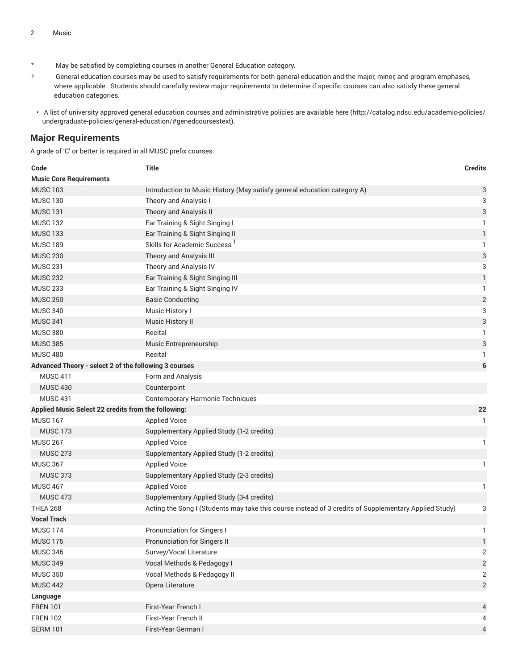- \* May be satisfied by completing courses in another General Education category.
- † General education courses may be used to satisfy requirements for both general education and the major, minor, and program emphases, where applicable. Students should carefully review major requirements to determine if specific courses can also satisfy these general education categories.
- A list of university approved general education courses and administrative policies are available [here](http://catalog.ndsu.edu/academic-policies/undergraduate-policies/general-education/#genedcoursestext) ([http://catalog.ndsu.edu/academic-policies/](http://catalog.ndsu.edu/academic-policies/undergraduate-policies/general-education/#genedcoursestext) [undergraduate-policies/general-education/#genedcoursestext](http://catalog.ndsu.edu/academic-policies/undergraduate-policies/general-education/#genedcoursestext)).

#### **Major Requirements**

A grade of 'C' or better is required in all MUSC prefix courses.

| Code                                                  | <b>Title</b>                                                                                          | <b>Credits</b>            |
|-------------------------------------------------------|-------------------------------------------------------------------------------------------------------|---------------------------|
| <b>Music Core Requirements</b>                        |                                                                                                       |                           |
| <b>MUSC 103</b>                                       | Introduction to Music History (May satisfy general education category A)                              | 3                         |
| <b>MUSC 130</b>                                       | Theory and Analysis I                                                                                 | 3                         |
| <b>MUSC 131</b>                                       | Theory and Analysis II                                                                                | 3                         |
| <b>MUSC 132</b>                                       | Ear Training & Sight Singing I                                                                        | 1                         |
| <b>MUSC 133</b>                                       | Ear Training & Sight Singing II                                                                       | $\mathbf{1}$              |
| <b>MUSC 189</b>                                       | Skills for Academic Success <sup>1</sup>                                                              | 1                         |
| <b>MUSC 230</b>                                       | Theory and Analysis III                                                                               | $\ensuremath{\mathsf{3}}$ |
| <b>MUSC 231</b>                                       | Theory and Analysis IV                                                                                | 3                         |
| <b>MUSC 232</b>                                       | Ear Training & Sight Singing III                                                                      | $\mathbf{1}$              |
| <b>MUSC 233</b>                                       | Ear Training & Sight Singing IV                                                                       | -1                        |
| <b>MUSC 250</b>                                       | <b>Basic Conducting</b>                                                                               | $\overline{c}$            |
| <b>MUSC 340</b>                                       | Music History I                                                                                       | 3                         |
| <b>MUSC 341</b>                                       | Music History II                                                                                      | 3                         |
| <b>MUSC 380</b>                                       | Recital                                                                                               | 1                         |
| <b>MUSC 385</b>                                       | Music Entrepreneurship                                                                                | 3                         |
| <b>MUSC 480</b>                                       | Recital                                                                                               | 1                         |
| Advanced Theory - select 2 of the following 3 courses |                                                                                                       | 6                         |
| <b>MUSC 411</b>                                       | Form and Analysis                                                                                     |                           |
| <b>MUSC 430</b>                                       | Counterpoint                                                                                          |                           |
| <b>MUSC 431</b>                                       | <b>Contemporary Harmonic Techniques</b>                                                               |                           |
| Applied Music Select 22 credits from the following:   |                                                                                                       | 22                        |
| <b>MUSC 167</b>                                       | <b>Applied Voice</b>                                                                                  | 1                         |
| <b>MUSC 173</b>                                       | Supplementary Applied Study (1-2 credits)                                                             |                           |
| <b>MUSC 267</b>                                       | <b>Applied Voice</b>                                                                                  | 1                         |
| <b>MUSC 273</b>                                       | Supplementary Applied Study (1-2 credits)                                                             |                           |
| <b>MUSC 367</b>                                       | <b>Applied Voice</b>                                                                                  | 1                         |
| <b>MUSC 373</b>                                       | Supplementary Applied Study (2-3 credits)                                                             |                           |
| <b>MUSC 467</b>                                       | <b>Applied Voice</b>                                                                                  | 1                         |
| <b>MUSC 473</b>                                       | Supplementary Applied Study (3-4 credits)                                                             |                           |
| <b>THEA 268</b>                                       | Acting the Song I (Students may take this course instead of 3 credits of Supplementary Applied Study) | 3                         |
| <b>Vocal Track</b>                                    |                                                                                                       |                           |
| <b>MUSC 174</b>                                       | <b>Pronunciation for Singers I</b>                                                                    | 1                         |
| <b>MUSC 175</b>                                       | <b>Pronunciation for Singers II</b>                                                                   | $\mathbf{1}$              |
| <b>MUSC 346</b>                                       | Survey/Vocal Literature                                                                               | 2                         |
| <b>MUSC 349</b>                                       | Vocal Methods & Pedagogy I                                                                            | $\sqrt{2}$                |
| <b>MUSC 350</b>                                       | Vocal Methods & Pedagogy II                                                                           | $\mathbf{2}$              |
| <b>MUSC 442</b>                                       | Opera Literature                                                                                      | $\mathbf{2}$              |
| Language                                              |                                                                                                       |                           |
| <b>FREN 101</b>                                       | First-Year French I                                                                                   | $\overline{4}$            |
| <b>FREN 102</b>                                       | First-Year French II                                                                                  | 4                         |
| <b>GERM 101</b>                                       | First-Year German I                                                                                   | $\overline{4}$            |